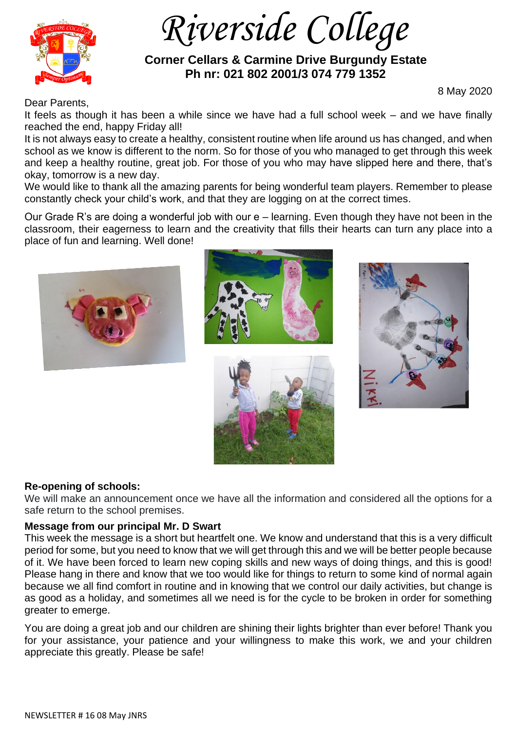

 *Riverside College*

 **Corner Cellars & Carmine Drive Burgundy Estate Ph nr: 021 802 2001/3 074 779 1352**

Dear Parents,

8 May 2020

It feels as though it has been a while since we have had a full school week – and we have finally reached the end, happy Friday all!

It is not always easy to create a healthy, consistent routine when life around us has changed, and when school as we know is different to the norm. So for those of you who managed to get through this week and keep a healthy routine, great job. For those of you who may have slipped here and there, that's okay, tomorrow is a new day.

We would like to thank all the amazing parents for being wonderful team players. Remember to please constantly check your child's work, and that they are logging on at the correct times.

Our Grade R's are doing a wonderful job with our e – learning. Even though they have not been in the classroom, their eagerness to learn and the creativity that fills their hearts can turn any place into a place of fun and learning. Well done!









## **Re-opening of schools:**

We will make an announcement once we have all the information and considered all the options for a safe return to the school premises.

## **Message from our principal Mr. D Swart**

This week the message is a short but heartfelt one. We know and understand that this is a very difficult period for some, but you need to know that we will get through this and we will be better people because of it. We have been forced to learn new coping skills and new ways of doing things, and this is good! Please hang in there and know that we too would like for things to return to some kind of normal again because we all find comfort in routine and in knowing that we control our daily activities, but change is as good as a holiday, and sometimes all we need is for the cycle to be broken in order for something greater to emerge.

You are doing a great job and our children are shining their lights brighter than ever before! Thank you for your assistance, your patience and your willingness to make this work, we and your children appreciate this greatly. Please be safe!